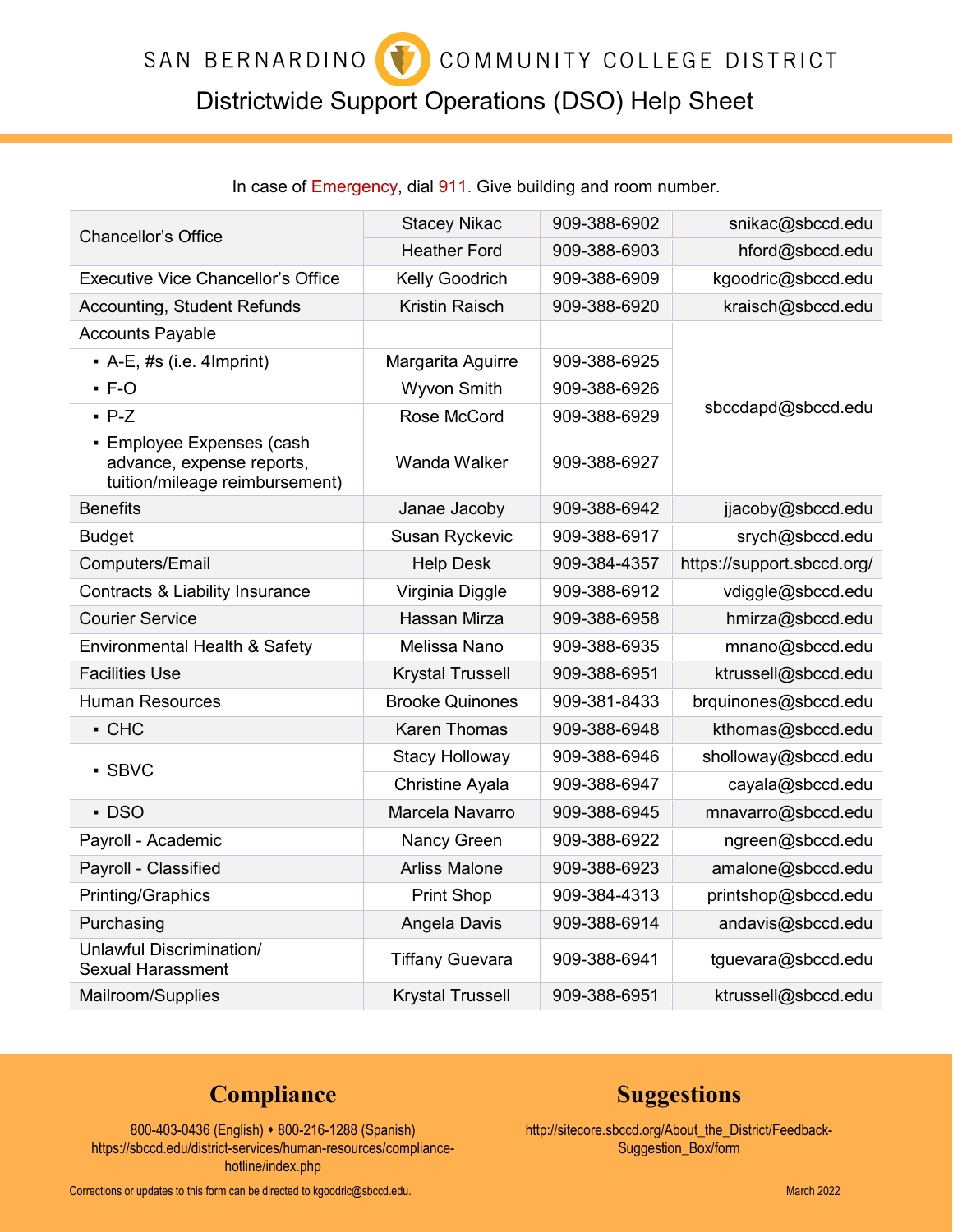## COMMUNITY COLLEGE DISTRICT SAN BERNARDINO

# Districtwide Support Operations (DSO) Help Sheet

### In case of Emergency, dial 911. Give building and room number.

| <b>Chancellor's Office</b>                                                               | <b>Stacey Nikac</b>     | 909-388-6902 | snikac@sbccd.edu           |
|------------------------------------------------------------------------------------------|-------------------------|--------------|----------------------------|
|                                                                                          | <b>Heather Ford</b>     | 909-388-6903 | hford@sbccd.edu            |
| <b>Executive Vice Chancellor's Office</b>                                                | Kelly Goodrich          | 909-388-6909 | kgoodric@sbccd.edu         |
| <b>Accounting, Student Refunds</b>                                                       | <b>Kristin Raisch</b>   | 909-388-6920 | kraisch@sbccd.edu          |
| <b>Accounts Payable</b>                                                                  |                         |              |                            |
| $\bullet$ A-E, #s (i.e. 4 lmprint)                                                       | Margarita Aguirre       | 909-388-6925 | sbccdapd@sbccd.edu         |
| $-F-O$                                                                                   | <b>Wyvon Smith</b>      | 909-388-6926 |                            |
| $P-Z$                                                                                    | Rose McCord             | 909-388-6929 |                            |
| • Employee Expenses (cash<br>advance, expense reports,<br>tuition/mileage reimbursement) | Wanda Walker            | 909-388-6927 |                            |
| <b>Benefits</b>                                                                          | Janae Jacoby            | 909-388-6942 | jjacoby@sbccd.edu          |
| <b>Budget</b>                                                                            | <b>Susan Ryckevic</b>   | 909-388-6917 | srych@sbccd.edu            |
| Computers/Email                                                                          | <b>Help Desk</b>        | 909-384-4357 | https://support.sbccd.org/ |
| Contracts & Liability Insurance                                                          | Virginia Diggle         | 909-388-6912 | vdiggle@sbccd.edu          |
| <b>Courier Service</b>                                                                   | Hassan Mirza            | 909-388-6958 | hmirza@sbccd.edu           |
| Environmental Health & Safety                                                            | Melissa Nano            | 909-388-6935 | mnano@sbccd.edu            |
| <b>Facilities Use</b>                                                                    | <b>Krystal Trussell</b> | 909-388-6951 | ktrussell@sbccd.edu        |
| <b>Human Resources</b>                                                                   | <b>Brooke Quinones</b>  | 909-381-8433 | brquinones@sbccd.edu       |
| $\cdot$ CHC                                                                              | <b>Karen Thomas</b>     | 909-388-6948 | kthomas@sbccd.edu          |
| - SBVC                                                                                   | <b>Stacy Holloway</b>   | 909-388-6946 | sholloway@sbccd.edu        |
|                                                                                          | <b>Christine Ayala</b>  | 909-388-6947 | cayala@sbccd.edu           |
| · DSO                                                                                    | Marcela Navarro         | 909-388-6945 | mnavarro@sbccd.edu         |
| Payroll - Academic                                                                       | <b>Nancy Green</b>      | 909-388-6922 | ngreen@sbccd.edu           |
| Payroll - Classified                                                                     | <b>Arliss Malone</b>    | 909-388-6923 | amalone@sbccd.edu          |
| Printing/Graphics                                                                        | <b>Print Shop</b>       | 909-384-4313 | printshop@sbccd.edu        |
| Purchasing                                                                               | Angela Davis            | 909-388-6914 | andavis@sbccd.edu          |
| Unlawful Discrimination/<br><b>Sexual Harassment</b>                                     | <b>Tiffany Guevara</b>  | 909-388-6941 | tguevara@sbccd.edu         |
| Mailroom/Supplies                                                                        | <b>Krystal Trussell</b> | 909-388-6951 | ktrussell@sbccd.edu        |

# **Compliance Suggestions**

800-403-0436 (English) • 800-216-1288 (Spanish) http://sitecore.sbccd.org/About\_the\_District/Feedback-<br>sbccd.edu/district-services/human-resources/compliance- Suggestion Box/form [https://sbccd.edu/district-services/human-resources/compliance](https://sbccd.edu/district-services/human-resources/compliance-hotline/index.php) [hotline/index.php](https://sbccd.edu/district-services/human-resources/compliance-hotline/index.php)

Corrections or updates to this form can be directed t[o kgoodric@sbccd.edu.](mailto:kgoodric@sbccd.edu) March 2022